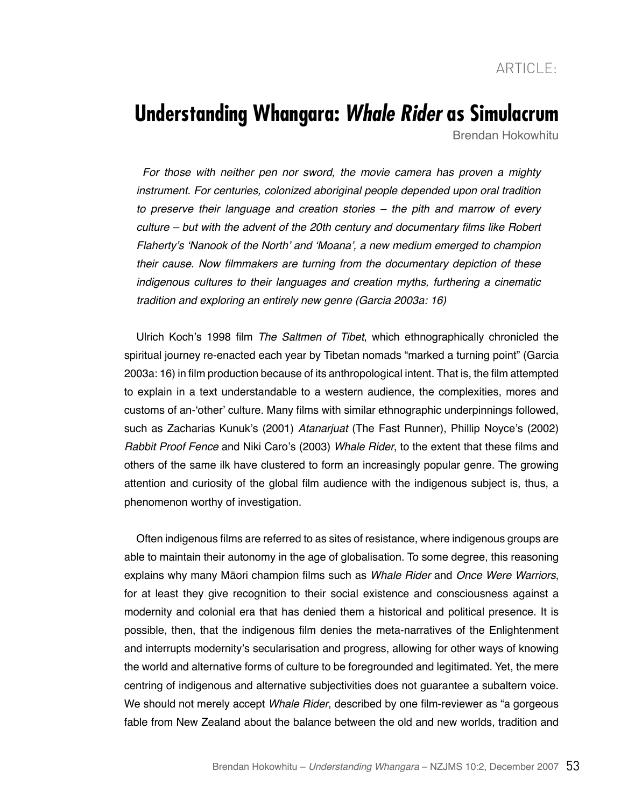# **Understanding Whangara:** *Whale Rider* **as Simulacrum**

Brendan Hokowhitu

For those with neither pen nor sword, the movie camera has proven a mighty instrument. For centuries, colonized aboriginal people depended upon oral tradition to preserve their language and creation stories – the pith and marrow of every culture – but with the advent of the 20th century and documentary films like Robert Flaherty's 'Nanook of the North' and 'Moana', a new medium emerged to champion their cause. Now filmmakers are turning from the documentary depiction of these indigenous cultures to their languages and creation myths, furthering a cinematic tradition and exploring an entirely new genre (Garcia 2003a: 16)

Ulrich Koch's 1998 film *The Saltmen of Tibet*, which ethnographically chronicled the spiritual journey re-enacted each year by Tibetan nomads "marked a turning point" (Garcia 2003a: 16) in film production because of its anthropological intent. That is, the film attempted to explain in a text understandable to a western audience, the complexities, mores and customs of an-'other' culture. Many films with similar ethnographic underpinnings followed, such as Zacharias Kunuk's (2001) Atanarjuat (The Fast Runner), Phillip Noyce's (2002) Rabbit Proof Fence and Niki Caro's (2003) Whale Rider, to the extent that these films and others of the same ilk have clustered to form an increasingly popular genre. The growing attention and curiosity of the global film audience with the indigenous subject is, thus, a phenomenon worthy of investigation.

Often indigenous films are referred to as sites of resistance, where indigenous groups are able to maintain their autonomy in the age of globalisation. To some degree, this reasoning explains why many Māori champion films such as Whale Rider and *Once Were Warriors*, for at least they give recognition to their social existence and consciousness against a modernity and colonial era that has denied them a historical and political presence. It is possible, then, that the indigenous film denies the meta-narratives of the Enlightenment and interrupts modernity's secularisation and progress, allowing for other ways of knowing the world and alternative forms of culture to be foregrounded and legitimated. Yet, the mere centring of indigenous and alternative subjectivities does not guarantee a subaltern voice. We should not merely accept *Whale Rider*, described by one film-reviewer as "a gorgeous" fable from New Zealand about the balance between the old and new worlds, tradition and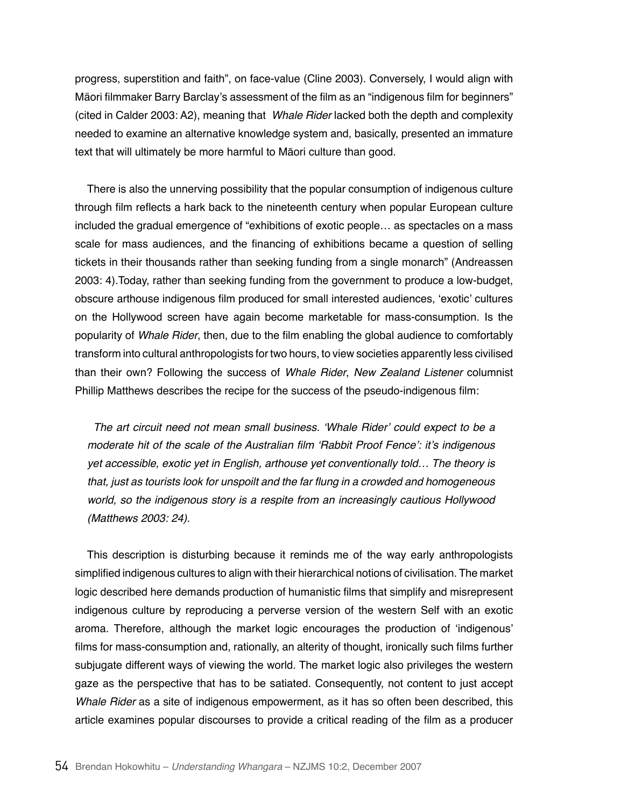progress, superstition and faith", on face-value (Cline 2003). Conversely, I would align with Mäori filmmaker Barry Barclay's assessment of the film as an "indigenous film for beginners" (cited in Calder 2003: A2), meaning that Whale Rider lacked both the depth and complexity needed to examine an alternative knowledge system and, basically, presented an immature text that will ultimately be more harmful to Māori culture than good.

There is also the unnerving possibility that the popular consumption of indigenous culture through film reflects a hark back to the nineteenth century when popular European culture included the gradual emergence of "exhibitions of exotic people… as spectacles on a mass scale for mass audiences, and the financing of exhibitions became a question of selling tickets in their thousands rather than seeking funding from a single monarch" (Andreassen 2003: 4).Today, rather than seeking funding from the government to produce a low-budget, obscure arthouse indigenous film produced for small interested audiences, 'exotic' cultures on the Hollywood screen have again become marketable for mass-consumption. Is the popularity of Whale Rider, then, due to the film enabling the global audience to comfortably transform into cultural anthropologists for two hours, to view societies apparently less civilised than their own? Following the success of Whale Rider, *New Zealand Listener* columnist Phillip Matthews describes the recipe for the success of the pseudo-indigenous film:

The art circuit need not mean small business. 'Whale Rider' could expect to be a moderate hit of the scale of the Australian film 'Rabbit Proof Fence': it's indigenous yet accessible, exotic yet in English, arthouse yet conventionally told… The theory is that, just as tourists look for unspoilt and the far flung in a crowded and homogeneous world, so the indigenous story is a respite from an increasingly cautious Hollywood (Matthews 2003: 24).

This description is disturbing because it reminds me of the way early anthropologists simplified indigenous cultures to align with their hierarchical notions of civilisation. The market logic described here demands production of humanistic films that simplify and misrepresent indigenous culture by reproducing a perverse version of the western Self with an exotic aroma. Therefore, although the market logic encourages the production of 'indigenous' films for mass-consumption and, rationally, an alterity of thought, ironically such films further subjugate different ways of viewing the world. The market logic also privileges the western gaze as the perspective that has to be satiated. Consequently, not content to just accept Whale Rider as a site of indigenous empowerment, as it has so often been described, this article examines popular discourses to provide a critical reading of the film as a producer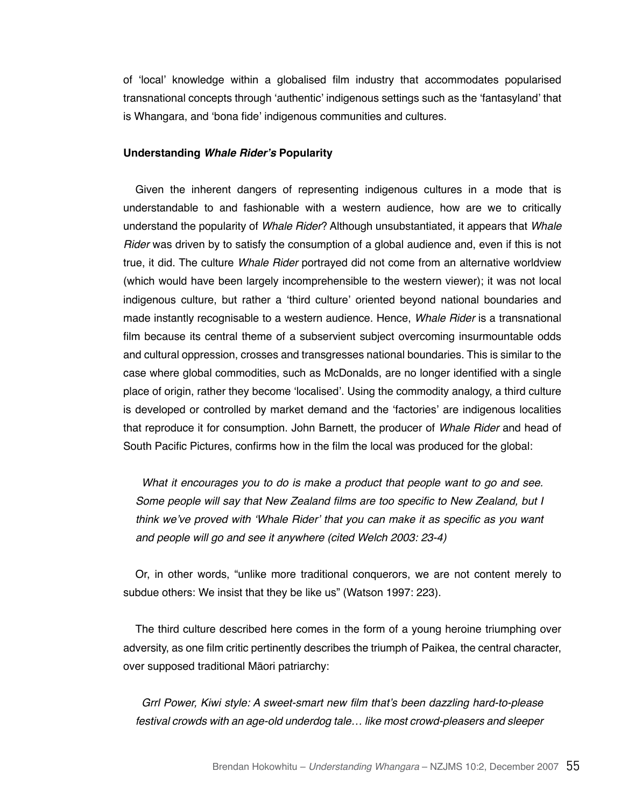of 'local' knowledge within a globalised film industry that accommodates popularised transnational concepts through 'authentic' indigenous settings such as the 'fantasyland' that is Whangara, and 'bona fide' indigenous communities and cultures.

#### **Understanding** *Whale Rider's* **Popularity**

Given the inherent dangers of representing indigenous cultures in a mode that is understandable to and fashionable with a western audience, how are we to critically understand the popularity of Whale Rider? Although unsubstantiated, it appears that *Whale*  Rider was driven by to satisfy the consumption of a global audience and, even if this is not true, it did. The culture Whale Rider portrayed did not come from an alternative worldview (which would have been largely incomprehensible to the western viewer); it was not local indigenous culture, but rather a 'third culture' oriented beyond national boundaries and made instantly recognisable to a western audience. Hence, Whale Rider is a transnational film because its central theme of a subservient subject overcoming insurmountable odds and cultural oppression, crosses and transgresses national boundaries. This is similar to the case where global commodities, such as McDonalds, are no longer identified with a single place of origin, rather they become 'localised'. Using the commodity analogy, a third culture is developed or controlled by market demand and the 'factories' are indigenous localities that reproduce it for consumption. John Barnett, the producer of Whale Rider and head of South Pacific Pictures, confirms how in the film the local was produced for the global:

What it encourages you to do is make a product that people want to go and see. Some people will say that New Zealand films are too specific to New Zealand, but I think we've proved with 'Whale Rider' that you can make it as specific as you want and people will go and see it anywhere (cited Welch 2003: 23-4)

Or, in other words, "unlike more traditional conquerors, we are not content merely to subdue others: We insist that they be like us" (Watson 1997: 223).

The third culture described here comes in the form of a young heroine triumphing over adversity, as one film critic pertinently describes the triumph of Paikea, the central character, over supposed traditional Māori patriarchy:

Grrl Power, Kiwi style: A sweet-smart new film that's been dazzling hard-to-please festival crowds with an age-old underdog tale… like most crowd-pleasers and sleeper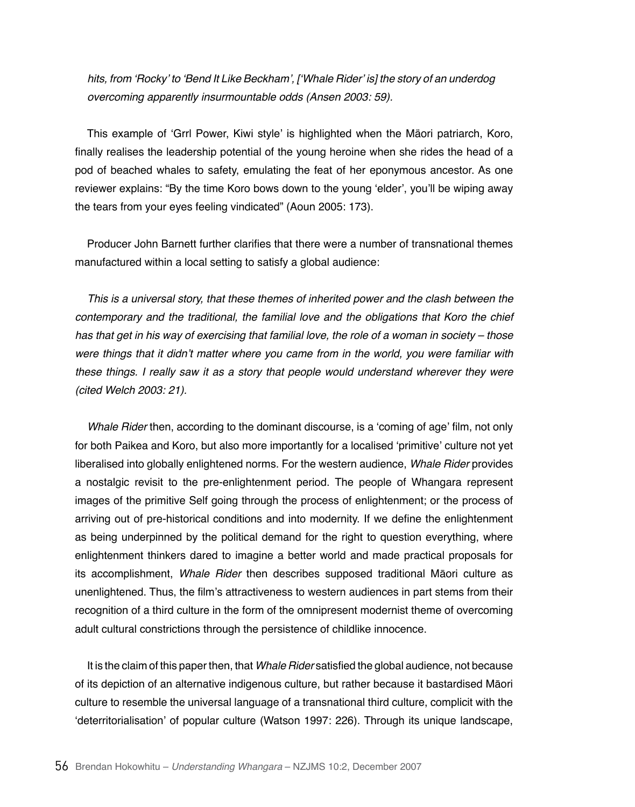hits, from 'Rocky' to 'Bend It Like Beckham', ['Whale Rider' is] the story of an underdog overcoming apparently insurmountable odds (Ansen 2003: 59).

This example of 'Grrl Power, Kiwi style' is highlighted when the Mäori patriarch, Koro, finally realises the leadership potential of the young heroine when she rides the head of a pod of beached whales to safety, emulating the feat of her eponymous ancestor. As one reviewer explains: "By the time Koro bows down to the young 'elder', you'll be wiping away the tears from your eyes feeling vindicated" (Aoun 2005: 173).

Producer John Barnett further clarifies that there were a number of transnational themes manufactured within a local setting to satisfy a global audience:

This is a universal story, that these themes of inherited power and the clash between the contemporary and the traditional, the familial love and the obligations that Koro the chief has that get in his way of exercising that familial love, the role of a woman in society – those were things that it didn't matter where you came from in the world, you were familiar with these things. I really saw it as a story that people would understand wherever they were (cited Welch 2003: 21).

Whale Rider then, according to the dominant discourse, is a 'coming of age' film, not only for both Paikea and Koro, but also more importantly for a localised 'primitive' culture not yet liberalised into globally enlightened norms. For the western audience, Whale Rider provides a nostalgic revisit to the pre-enlightenment period. The people of Whangara represent images of the primitive Self going through the process of enlightenment; or the process of arriving out of pre-historical conditions and into modernity. If we define the enlightenment as being underpinned by the political demand for the right to question everything, where enlightenment thinkers dared to imagine a better world and made practical proposals for its accomplishment, Whale Rider then describes supposed traditional Māori culture as unenlightened. Thus, the film's attractiveness to western audiences in part stems from their recognition of a third culture in the form of the omnipresent modernist theme of overcoming adult cultural constrictions through the persistence of childlike innocence.

It is the claim of this paper then, that Whale Rider satisfied the global audience, not because of its depiction of an alternative indigenous culture, but rather because it bastardised Māori culture to resemble the universal language of a transnational third culture, complicit with the 'deterritorialisation' of popular culture (Watson 1997: 226). Through its unique landscape,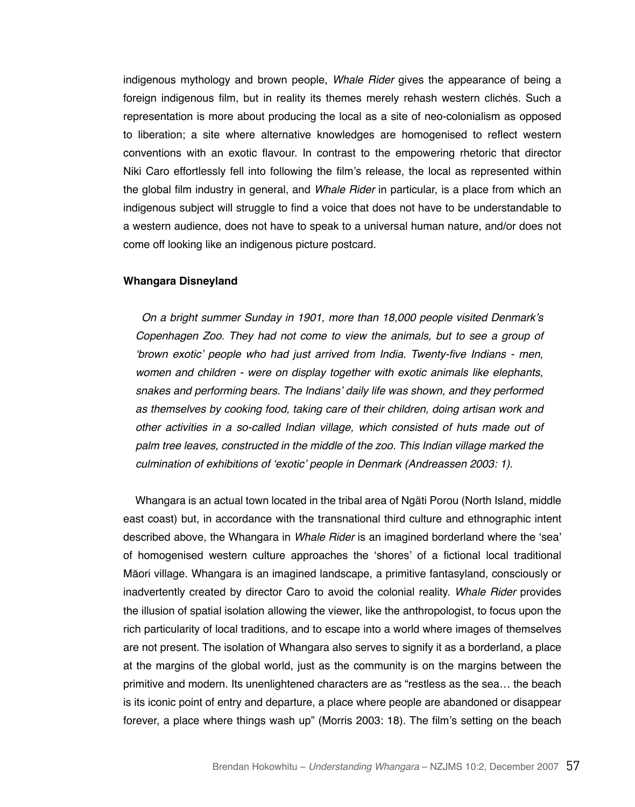indigenous mythology and brown people. Whale Rider gives the appearance of being a foreign indigenous film, but in reality its themes merely rehash western clichés. Such a representation is more about producing the local as a site of neo-colonialism as opposed to liberation; a site where alternative knowledges are homogenised to reflect western conventions with an exotic flavour. In contrast to the empowering rhetoric that director Niki Caro effortlessly fell into following the film's release, the local as represented within the global film industry in general, and Whale Rider in particular, is a place from which an indigenous subject will struggle to find a voice that does not have to be understandable to a western audience, does not have to speak to a universal human nature, and/or does not come off looking like an indigenous picture postcard.

#### **Whangara Disneyland**

On a bright summer Sunday in 1901, more than 18,000 people visited Denmark's Copenhagen Zoo. They had not come to view the animals, but to see a group of 'brown exotic' people who had just arrived from India. Twenty-five Indians - men, women and children - were on display together with exotic animals like elephants, snakes and performing bears. The Indians' daily life was shown, and they performed as themselves by cooking food, taking care of their children, doing artisan work and other activities in a so-called Indian village, which consisted of huts made out of palm tree leaves, constructed in the middle of the zoo. This Indian village marked the culmination of exhibitions of 'exotic' people in Denmark (Andreassen 2003: 1).

Whangara is an actual town located in the tribal area of Ngäti Porou (North Island, middle east coast) but, in accordance with the transnational third culture and ethnographic intent described above, the Whangara in Whale Rider is an imagined borderland where the 'sea' of homogenised western culture approaches the 'shores' of a fictional local traditional Māori village. Whangara is an imagined landscape, a primitive fantasyland, consciously or inadvertently created by director Caro to avoid the colonial reality. Whale Rider provides the illusion of spatial isolation allowing the viewer, like the anthropologist, to focus upon the rich particularity of local traditions, and to escape into a world where images of themselves are not present. The isolation of Whangara also serves to signify it as a borderland, a place at the margins of the global world, just as the community is on the margins between the primitive and modern. Its unenlightened characters are as "restless as the sea… the beach is its iconic point of entry and departure, a place where people are abandoned or disappear forever, a place where things wash up" (Morris 2003: 18). The film's setting on the beach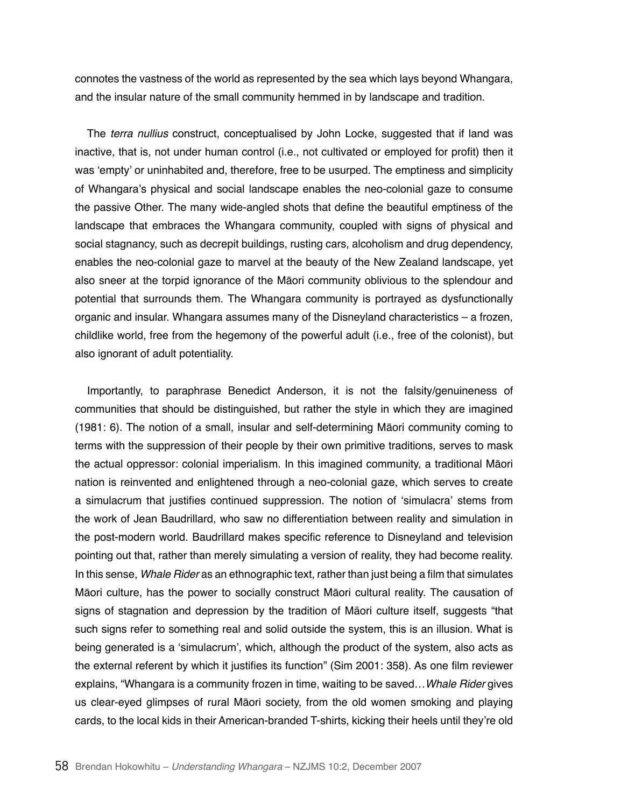connotes the vastness of the world as represented by the sea which lays beyond Whangara, and the insular nature of the small community hemmed in by landscape and tradition.

The *terra nullius* construct, conceptualised by John Locke, suggested that if land was inactive, that is, not under human control (i.e., not cultivated or employed for profit) then it was 'empty' or uninhabited and, therefore, free to be usurped. The emptiness and simplicity of Whangara's physical and social landscape enables the neo-colonial gaze to consume the passive Other. The many wide-angled shots that define the beautiful emptiness of the landscape that embraces the Whangara community, coupled with signs of physical and social stagnancy, such as decrepit buildings, rusting cars, alcoholism and drug dependency, enables the neo-colonial gaze to marvel at the beauty of the New Zealand landscape, yet also sneer at the torpid ignorance of the Māori community oblivious to the splendour and potential that surrounds them. The Whangara community is portrayed as dysfunctionally organic and insular. Whangara assumes many of the Disneyland characteristics – a frozen, childlike world, free from the hegemony of the powerful adult (i.e., free of the colonist), but also ignorant of adult potentiality.

Importantly, to paraphrase Benedict Anderson, it is not the falsity/genuineness of communities that should be distinguished, but rather the style in which they are imagined (1981: 6). The notion of a small, insular and self-determining Māori community coming to terms with the suppression of their people by their own primitive traditions, serves to mask the actual oppressor: colonial imperialism. In this imagined community, a traditional Māori nation is reinvented and enlightened through a neo-colonial gaze, which serves to create a simulacrum that justifies continued suppression. The notion of 'simulacra' stems from the work of Jean Baudrillard, who saw no differentiation between reality and simulation in the post-modern world. Baudrillard makes specific reference to Disneyland and television pointing out that, rather than merely simulating a version of reality, they had become reality. In this sense, Whale Rider as an ethnographic text, rather than just being a film that simulates Māori culture, has the power to socially construct Māori cultural reality. The causation of signs of stagnation and depression by the tradition of Mäori culture itself, suggests "that such signs refer to something real and solid outside the system, this is an illusion. What is being generated is a 'simulacrum', which, although the product of the system, also acts as the external referent by which it justifies its function" (Sim 2001: 358). As one film reviewer explains, "Whangara is a community frozen in time, waiting to be saved... Whale Rider gives us clear-eyed glimpses of rural Māori society, from the old women smoking and playing cards, to the local kids in their American-branded T-shirts, kicking their heels until they're old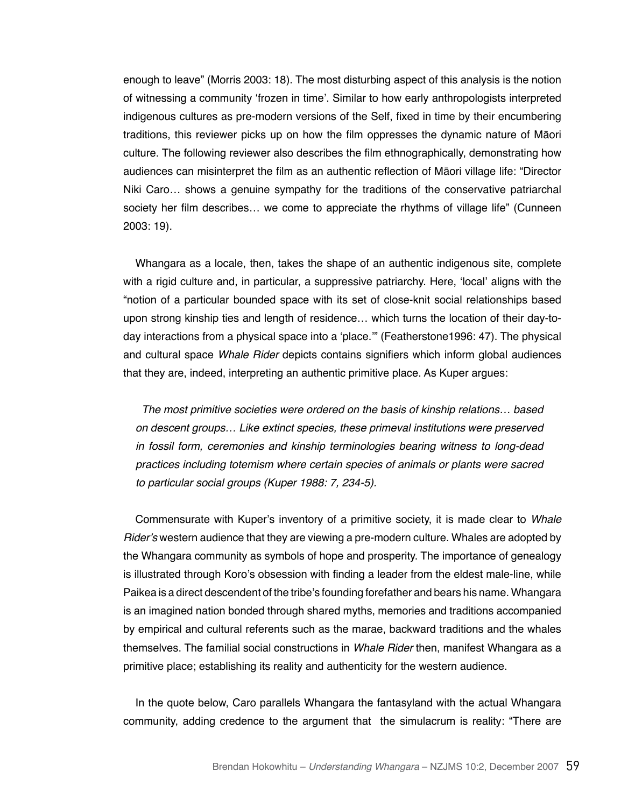enough to leave" (Morris 2003: 18). The most disturbing aspect of this analysis is the notion of witnessing a community 'frozen in time'. Similar to how early anthropologists interpreted indigenous cultures as pre-modern versions of the Self, fixed in time by their encumbering traditions, this reviewer picks up on how the film oppresses the dynamic nature of Māori culture. The following reviewer also describes the film ethnographically, demonstrating how audiences can misinterpret the film as an authentic reflection of Māori village life: "Director Niki Caro… shows a genuine sympathy for the traditions of the conservative patriarchal society her film describes… we come to appreciate the rhythms of village life" (Cunneen 2003: 19).

Whangara as a locale, then, takes the shape of an authentic indigenous site, complete with a rigid culture and, in particular, a suppressive patriarchy. Here, 'local' aligns with the "notion of a particular bounded space with its set of close-knit social relationships based upon strong kinship ties and length of residence… which turns the location of their day-today interactions from a physical space into a 'place.'" (Featherstone1996: 47). The physical and cultural space Whale Rider depicts contains signifiers which inform global audiences that they are, indeed, interpreting an authentic primitive place. As Kuper argues:

The most primitive societies were ordered on the basis of kinship relations… based on descent groups… Like extinct species, these primeval institutions were preserved in fossil form, ceremonies and kinship terminologies bearing witness to long-dead practices including totemism where certain species of animals or plants were sacred to particular social groups (Kuper 1988: 7, 234-5).

Commensurate with Kuper's inventory of a primitive society, it is made clear to *Whale*  Rider's western audience that they are viewing a pre-modern culture. Whales are adopted by the Whangara community as symbols of hope and prosperity. The importance of genealogy is illustrated through Koro's obsession with finding a leader from the eldest male-line, while Paikea is a direct descendent of the tribe's founding forefather and bears his name. Whangara is an imagined nation bonded through shared myths, memories and traditions accompanied by empirical and cultural referents such as the marae, backward traditions and the whales themselves. The familial social constructions in Whale Rider then, manifest Whangara as a primitive place; establishing its reality and authenticity for the western audience.

In the quote below, Caro parallels Whangara the fantasyland with the actual Whangara community, adding credence to the argument that the simulacrum is reality: "There are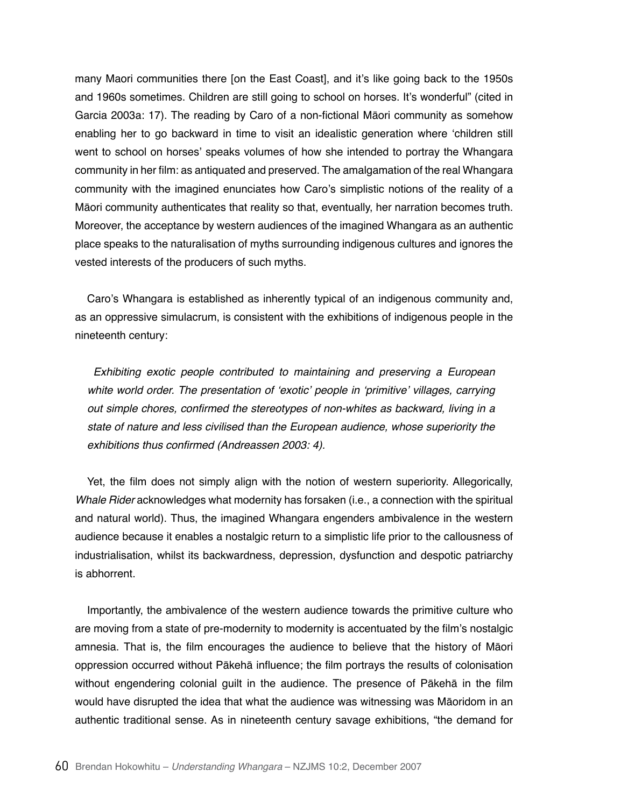many Maori communities there [on the East Coast], and it's like going back to the 1950s and 1960s sometimes. Children are still going to school on horses. It's wonderful" (cited in Garcia 2003a: 17). The reading by Caro of a non-fictional Māori community as somehow enabling her to go backward in time to visit an idealistic generation where 'children still went to school on horses' speaks volumes of how she intended to portray the Whangara community in her film: as antiquated and preserved. The amalgamation of the real Whangara community with the imagined enunciates how Caro's simplistic notions of the reality of a Māori community authenticates that reality so that, eventually, her narration becomes truth. Moreover, the acceptance by western audiences of the imagined Whangara as an authentic place speaks to the naturalisation of myths surrounding indigenous cultures and ignores the vested interests of the producers of such myths.

Caro's Whangara is established as inherently typical of an indigenous community and, as an oppressive simulacrum, is consistent with the exhibitions of indigenous people in the nineteenth century:

Exhibiting exotic people contributed to maintaining and preserving a European white world order. The presentation of 'exotic' people in 'primitive' villages, carrying out simple chores, confirmed the stereotypes of non-whites as backward, living in a state of nature and less civilised than the European audience, whose superiority the exhibitions thus confirmed (Andreassen 2003: 4).

Yet, the film does not simply align with the notion of western superiority. Allegorically, Whale Rider acknowledges what modernity has forsaken (i.e., a connection with the spiritual and natural world). Thus, the imagined Whangara engenders ambivalence in the western audience because it enables a nostalgic return to a simplistic life prior to the callousness of industrialisation, whilst its backwardness, depression, dysfunction and despotic patriarchy is abhorrent.

Importantly, the ambivalence of the western audience towards the primitive culture who are moving from a state of pre-modernity to modernity is accentuated by the film's nostalgic amnesia. That is, the film encourages the audience to believe that the history of Māori oppression occurred without Pākehā influence; the film portrays the results of colonisation without engendering colonial guilt in the audience. The presence of Pākehā in the film would have disrupted the idea that what the audience was witnessing was Māoridom in an authentic traditional sense. As in nineteenth century savage exhibitions, "the demand for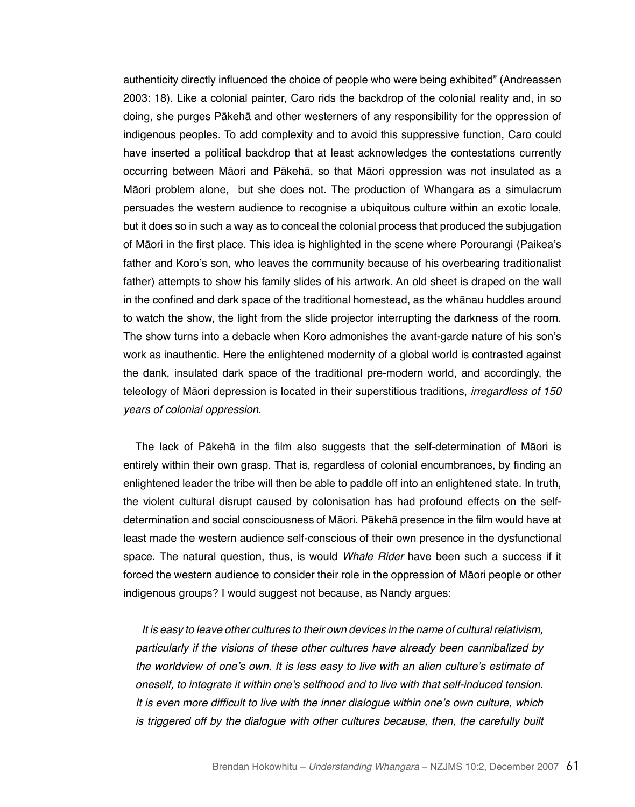authenticity directly influenced the choice of people who were being exhibited" (Andreassen 2003: 18). Like a colonial painter, Caro rids the backdrop of the colonial reality and, in so doing, she purges Pākehā and other westerners of any responsibility for the oppression of indigenous peoples. To add complexity and to avoid this suppressive function, Caro could have inserted a political backdrop that at least acknowledges the contestations currently occurring between Māori and Pākehā, so that Māori oppression was not insulated as a Māori problem alone, but she does not. The production of Whangara as a simulacrum persuades the western audience to recognise a ubiquitous culture within an exotic locale, but it does so in such a way as to conceal the colonial process that produced the subjugation of Māori in the first place. This idea is highlighted in the scene where Porourangi (Paikea's father and Koro's son, who leaves the community because of his overbearing traditionalist father) attempts to show his family slides of his artwork. An old sheet is draped on the wall in the confined and dark space of the traditional homestead, as the whānau huddles around to watch the show, the light from the slide projector interrupting the darkness of the room. The show turns into a debacle when Koro admonishes the avant-garde nature of his son's work as inauthentic. Here the enlightened modernity of a global world is contrasted against the dank, insulated dark space of the traditional pre-modern world, and accordingly, the teleology of Māori depression is located in their superstitious traditions, irregardless of 150 years of colonial oppression.

The lack of Pākehā in the film also suggests that the self-determination of Māori is entirely within their own grasp. That is, regardless of colonial encumbrances, by finding an enlightened leader the tribe will then be able to paddle off into an enlightened state. In truth, the violent cultural disrupt caused by colonisation has had profound effects on the selfdetermination and social consciousness of Māori. Pākehā presence in the film would have at least made the western audience self-conscious of their own presence in the dysfunctional space. The natural question, thus, is would *Whale Rider* have been such a success if it forced the western audience to consider their role in the oppression of Māori people or other indigenous groups? I would suggest not because, as Nandy argues:

It is easy to leave other cultures to their own devices in the name of cultural relativism, particularly if the visions of these other cultures have already been cannibalized by the worldview of one's own. It is less easy to live with an alien culture's estimate of oneself, to integrate it within one's selfhood and to live with that self-induced tension. It is even more difficult to live with the inner dialogue within one's own culture, which is triggered off by the dialogue with other cultures because, then, the carefully built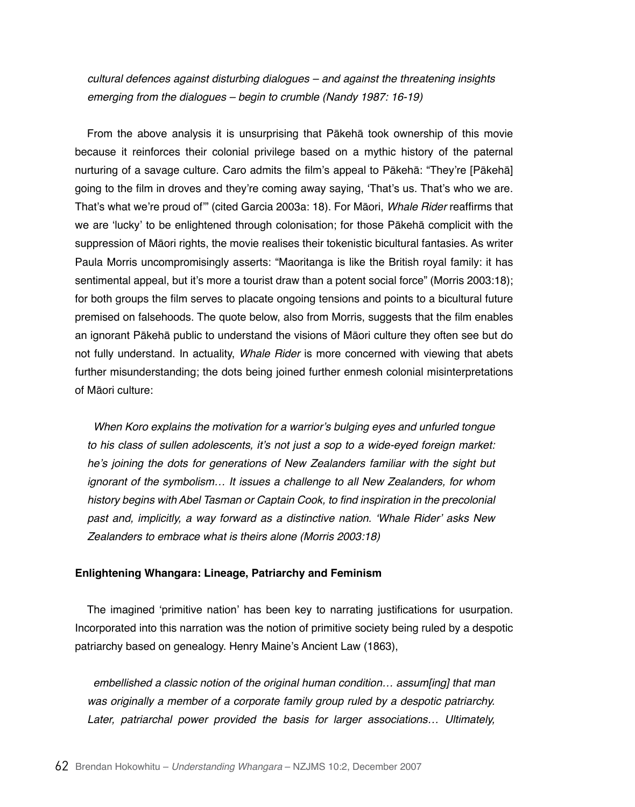cultural defences against disturbing dialogues – and against the threatening insights emerging from the dialogues – begin to crumble (Nandy 1987: 16-19)

From the above analysis it is unsurprising that Pākehā took ownership of this movie because it reinforces their colonial privilege based on a mythic history of the paternal nurturing of a savage culture. Caro admits the film's appeal to Pākehā: "They're [Pākehā] going to the film in droves and they're coming away saying, 'That's us. That's who we are. That's what we're proud of'" (cited Garcia 2003a: 18). For Māori, Whale Rider reaffirms that we are 'lucky' to be enlightened through colonisation; for those Pākehā complicit with the suppression of Māori rights, the movie realises their tokenistic bicultural fantasies. As writer Paula Morris uncompromisingly asserts: "Maoritanga is like the British royal family: it has sentimental appeal, but it's more a tourist draw than a potent social force" (Morris 2003:18); for both groups the film serves to placate ongoing tensions and points to a bicultural future premised on falsehoods. The quote below, also from Morris, suggests that the film enables an ignorant Pākehā public to understand the visions of Māori culture they often see but do not fully understand. In actuality, Whale Rider is more concerned with viewing that abets further misunderstanding; the dots being joined further enmesh colonial misinterpretations of Māori culture:

When Koro explains the motivation for a warrior's bulging eyes and unfurled tongue to his class of sullen adolescents, it's not just a sop to a wide-eyed foreign market: he's joining the dots for generations of New Zealanders familiar with the sight but ignorant of the symbolism… It issues a challenge to all New Zealanders, for whom history begins with Abel Tasman or Captain Cook, to find inspiration in the precolonial past and, implicitly, a way forward as a distinctive nation. 'Whale Rider' asks New Zealanders to embrace what is theirs alone (Morris 2003:18)

# **Enlightening Whangara: Lineage, Patriarchy and Feminism**

The imagined 'primitive nation' has been key to narrating justifications for usurpation. Incorporated into this narration was the notion of primitive society being ruled by a despotic patriarchy based on genealogy. Henry Maine's Ancient Law (1863),

embellished a classic notion of the original human condition… assum[ing] that man was originally a member of a corporate family group ruled by a despotic patriarchy. Later, patriarchal power provided the basis for larger associations… Ultimately,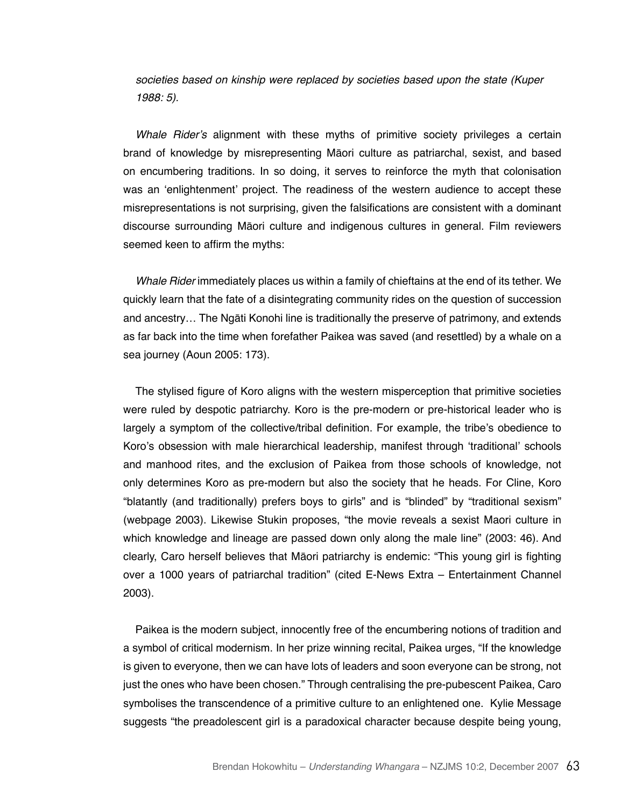societies based on kinship were replaced by societies based upon the state (Kuper 1988: 5).

Whale Rider's alignment with these myths of primitive society privileges a certain brand of knowledge by misrepresenting Māori culture as patriarchal, sexist, and based on encumbering traditions. In so doing, it serves to reinforce the myth that colonisation was an 'enlightenment' project. The readiness of the western audience to accept these misrepresentations is not surprising, given the falsifications are consistent with a dominant discourse surrounding Māori culture and indigenous cultures in general. Film reviewers seemed keen to affirm the myths:

Whale Rider immediately places us within a family of chieftains at the end of its tether. We quickly learn that the fate of a disintegrating community rides on the question of succession and ancestry… The Ngāti Konohi line is traditionally the preserve of patrimony, and extends as far back into the time when forefather Paikea was saved (and resettled) by a whale on a sea journey (Aoun 2005: 173).

The stylised figure of Koro aligns with the western misperception that primitive societies were ruled by despotic patriarchy. Koro is the pre-modern or pre-historical leader who is largely a symptom of the collective/tribal definition. For example, the tribe's obedience to Koro's obsession with male hierarchical leadership, manifest through 'traditional' schools and manhood rites, and the exclusion of Paikea from those schools of knowledge, not only determines Koro as pre-modern but also the society that he heads. For Cline, Koro "blatantly (and traditionally) prefers boys to girls" and is "blinded" by "traditional sexism" (webpage 2003). Likewise Stukin proposes, "the movie reveals a sexist Maori culture in which knowledge and lineage are passed down only along the male line" (2003: 46). And clearly, Caro herself believes that Māori patriarchy is endemic: "This young girl is fighting over a 1000 years of patriarchal tradition" (cited E-News Extra – Entertainment Channel 2003).

Paikea is the modern subject, innocently free of the encumbering notions of tradition and a symbol of critical modernism. In her prize winning recital, Paikea urges, "If the knowledge is given to everyone, then we can have lots of leaders and soon everyone can be strong, not just the ones who have been chosen." Through centralising the pre-pubescent Paikea, Caro symbolises the transcendence of a primitive culture to an enlightened one. Kylie Message suggests "the preadolescent girl is a paradoxical character because despite being young,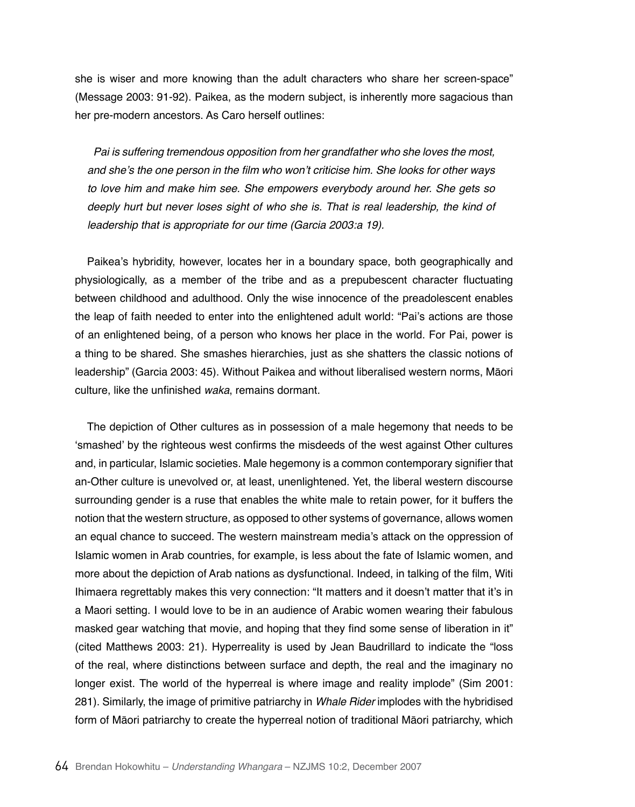she is wiser and more knowing than the adult characters who share her screen-space" (Message 2003: 91-92). Paikea, as the modern subject, is inherently more sagacious than her pre-modern ancestors. As Caro herself outlines:

Pai is suffering tremendous opposition from her grandfather who she loves the most, and she's the one person in the film who won't criticise him. She looks for other ways to love him and make him see. She empowers everybody around her. She gets so deeply hurt but never loses sight of who she is. That is real leadership, the kind of leadership that is appropriate for our time (Garcia 2003:a 19).

Paikea's hybridity, however, locates her in a boundary space, both geographically and physiologically, as a member of the tribe and as a prepubescent character fluctuating between childhood and adulthood. Only the wise innocence of the preadolescent enables the leap of faith needed to enter into the enlightened adult world: "Pai's actions are those of an enlightened being, of a person who knows her place in the world. For Pai, power is a thing to be shared. She smashes hierarchies, just as she shatters the classic notions of leadership" (Garcia 2003: 45). Without Paikea and without liberalised western norms, Māori culture, like the unfinished *waka*, remains dormant.

The depiction of Other cultures as in possession of a male hegemony that needs to be 'smashed' by the righteous west confirms the misdeeds of the west against Other cultures and, in particular, Islamic societies. Male hegemony is a common contemporary signifier that an-Other culture is unevolved or, at least, unenlightened. Yet, the liberal western discourse surrounding gender is a ruse that enables the white male to retain power, for it buffers the notion that the western structure, as opposed to other systems of governance, allows women an equal chance to succeed. The western mainstream media's attack on the oppression of Islamic women in Arab countries, for example, is less about the fate of Islamic women, and more about the depiction of Arab nations as dysfunctional. Indeed, in talking of the film, Witi Ihimaera regrettably makes this very connection: "It matters and it doesn't matter that it's in a Maori setting. I would love to be in an audience of Arabic women wearing their fabulous masked gear watching that movie, and hoping that they find some sense of liberation in it" (cited Matthews 2003: 21). Hyperreality is used by Jean Baudrillard to indicate the "loss of the real, where distinctions between surface and depth, the real and the imaginary no longer exist. The world of the hyperreal is where image and reality implode" (Sim 2001: 281). Similarly, the image of primitive patriarchy in Whale Rider implodes with the hybridised form of Māori patriarchy to create the hyperreal notion of traditional Māori patriarchy, which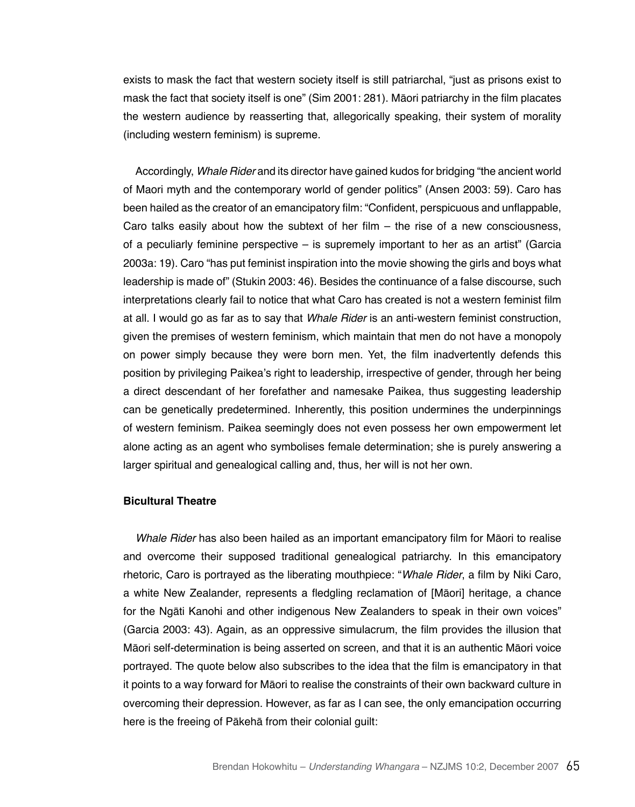exists to mask the fact that western society itself is still patriarchal, "just as prisons exist to mask the fact that society itself is one" (Sim 2001: 281). Māori patriarchy in the film placates the western audience by reasserting that, allegorically speaking, their system of morality (including western feminism) is supreme.

Accordingly, Whale Rider and its director have gained kudos for bridging "the ancient world of Maori myth and the contemporary world of gender politics" (Ansen 2003: 59). Caro has been hailed as the creator of an emancipatory film: "Confident, perspicuous and unflappable, Caro talks easily about how the subtext of her film  $-$  the rise of a new consciousness. of a peculiarly feminine perspective – is supremely important to her as an artist" (Garcia 2003a: 19). Caro "has put feminist inspiration into the movie showing the girls and boys what leadership is made of" (Stukin 2003: 46). Besides the continuance of a false discourse, such interpretations clearly fail to notice that what Caro has created is not a western feminist film at all. I would go as far as to say that Whale Rider is an anti-western feminist construction, given the premises of western feminism, which maintain that men do not have a monopoly on power simply because they were born men. Yet, the film inadvertently defends this position by privileging Paikea's right to leadership, irrespective of gender, through her being a direct descendant of her forefather and namesake Paikea, thus suggesting leadership can be genetically predetermined. Inherently, this position undermines the underpinnings of western feminism. Paikea seemingly does not even possess her own empowerment let alone acting as an agent who symbolises female determination; she is purely answering a larger spiritual and genealogical calling and, thus, her will is not her own.

# **Bicultural Theatre**

Whale Rider has also been hailed as an important emancipatory film for Māori to realise and overcome their supposed traditional genealogical patriarchy. In this emancipatory rhetoric, Caro is portrayed as the liberating mouthpiece: "Whale Rider, a film by Niki Caro, a white New Zealander, represents a fledgling reclamation of [Māori] heritage, a chance for the Ngāti Kanohi and other indigenous New Zealanders to speak in their own voices" (Garcia 2003: 43). Again, as an oppressive simulacrum, the film provides the illusion that Māori self-determination is being asserted on screen, and that it is an authentic Māori voice portrayed. The quote below also subscribes to the idea that the film is emancipatory in that it points to a way forward for Māori to realise the constraints of their own backward culture in overcoming their depression. However, as far as I can see, the only emancipation occurring here is the freeing of Pākehā from their colonial guilt: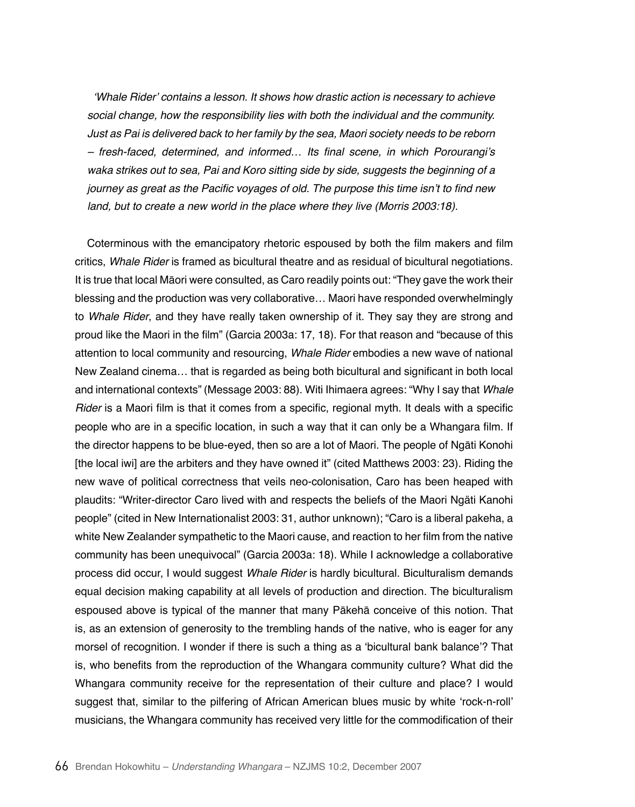'Whale Rider' contains a lesson. It shows how drastic action is necessary to achieve social change, how the responsibility lies with both the individual and the community. Just as Pai is delivered back to her family by the sea, Maori society needs to be reborn – fresh-faced, determined, and informed… Its final scene, in which Porourangi's waka strikes out to sea, Pai and Koro sitting side by side, suggests the beginning of a journey as great as the Pacific voyages of old. The purpose this time isn't to find new land, but to create a new world in the place where they live (Morris 2003:18).

Coterminous with the emancipatory rhetoric espoused by both the film makers and film critics, Whale Rider is framed as bicultural theatre and as residual of bicultural negotiations. It is true that local Māori were consulted, as Caro readily points out: "They gave the work their blessing and the production was very collaborative… Maori have responded overwhelmingly to Whale Rider, and they have really taken ownership of it. They say they are strong and proud like the Maori in the film" (Garcia 2003a: 17, 18). For that reason and "because of this attention to local community and resourcing, Whale Rider embodies a new wave of national New Zealand cinema… that is regarded as being both bicultural and significant in both local and international contexts" (Message 2003: 88). Witi Ihimaera agrees: "Why I say that *Whale*  Rider is a Maori film is that it comes from a specific, regional myth. It deals with a specific people who are in a specific location, in such a way that it can only be a Whangara film. If the director happens to be blue-eyed, then so are a lot of Maori. The people of Ngāti Konohi [the local iwi] are the arbiters and they have owned it" (cited Matthews 2003: 23). Riding the new wave of political correctness that veils neo-colonisation, Caro has been heaped with plaudits: "Writer-director Caro lived with and respects the beliefs of the Maori Ngäti Kanohi people" (cited in New Internationalist 2003: 31, author unknown); "Caro is a liberal pakeha, a white New Zealander sympathetic to the Maori cause, and reaction to her film from the native community has been unequivocal" (Garcia 2003a: 18). While I acknowledge a collaborative process did occur, I would suggest Whale Rider is hardly bicultural. Biculturalism demands equal decision making capability at all levels of production and direction. The biculturalism espoused above is typical of the manner that many Pākehā conceive of this notion. That is, as an extension of generosity to the trembling hands of the native, who is eager for any morsel of recognition. I wonder if there is such a thing as a 'bicultural bank balance'? That is, who benefits from the reproduction of the Whangara community culture? What did the Whangara community receive for the representation of their culture and place? I would suggest that, similar to the pilfering of African American blues music by white 'rock-n-roll' musicians, the Whangara community has received very little for the commodification of their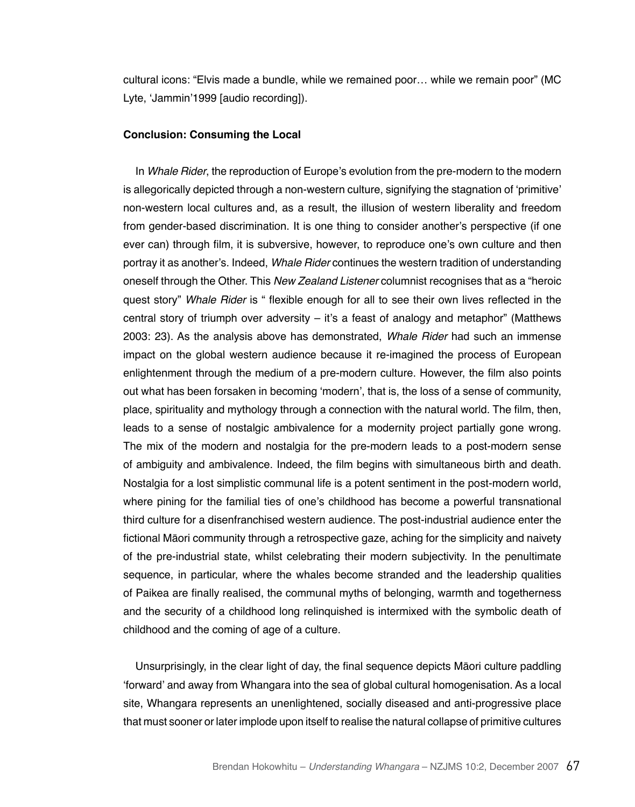cultural icons: "Elvis made a bundle, while we remained poor… while we remain poor" (MC Lyte, 'Jammin'1999 [audio recording]).

#### **Conclusion: Consuming the Local**

In Whale Rider, the reproduction of Europe's evolution from the pre-modern to the modern is allegorically depicted through a non-western culture, signifying the stagnation of 'primitive' non-western local cultures and, as a result, the illusion of western liberality and freedom from gender-based discrimination. It is one thing to consider another's perspective (if one ever can) through film, it is subversive, however, to reproduce one's own culture and then portray it as another's. Indeed, Whale Rider continues the western tradition of understanding oneself through the Other. This *New Zealand Listener* columnist recognises that as a "heroic quest story" Whale Rider is " flexible enough for all to see their own lives reflected in the central story of triumph over adversity – it's a feast of analogy and metaphor" (Matthews 2003: 23). As the analysis above has demonstrated, Whale Rider had such an immense impact on the global western audience because it re-imagined the process of European enlightenment through the medium of a pre-modern culture. However, the film also points out what has been forsaken in becoming 'modern', that is, the loss of a sense of community, place, spirituality and mythology through a connection with the natural world. The film, then, leads to a sense of nostalgic ambivalence for a modernity project partially gone wrong. The mix of the modern and nostalgia for the pre-modern leads to a post-modern sense of ambiguity and ambivalence. Indeed, the film begins with simultaneous birth and death. Nostalgia for a lost simplistic communal life is a potent sentiment in the post-modern world, where pining for the familial ties of one's childhood has become a powerful transnational third culture for a disenfranchised western audience. The post-industrial audience enter the fictional Māori community through a retrospective gaze, aching for the simplicity and naivety of the pre-industrial state, whilst celebrating their modern subjectivity. In the penultimate sequence, in particular, where the whales become stranded and the leadership qualities of Paikea are finally realised, the communal myths of belonging, warmth and togetherness and the security of a childhood long relinquished is intermixed with the symbolic death of childhood and the coming of age of a culture.

Unsurprisingly, in the clear light of day, the final sequence depicts Māori culture paddling 'forward' and away from Whangara into the sea of global cultural homogenisation. As a local site, Whangara represents an unenlightened, socially diseased and anti-progressive place that must sooner or later implode upon itself to realise the natural collapse of primitive cultures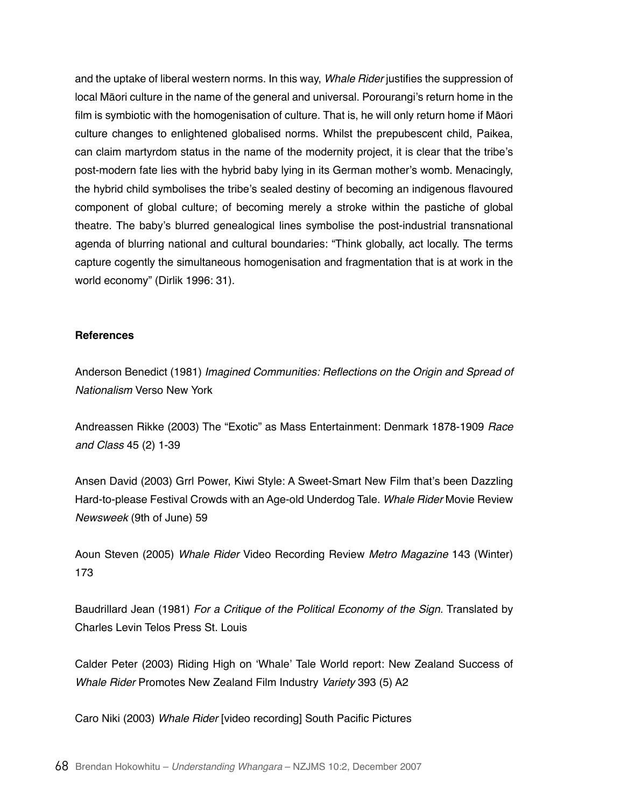and the uptake of liberal western norms. In this way, Whale Rider justifies the suppression of local Māori culture in the name of the general and universal. Porourangi's return home in the film is symbiotic with the homogenisation of culture. That is, he will only return home if Māori culture changes to enlightened globalised norms. Whilst the prepubescent child, Paikea, can claim martyrdom status in the name of the modernity project, it is clear that the tribe's post-modern fate lies with the hybrid baby lying in its German mother's womb. Menacingly, the hybrid child symbolises the tribe's sealed destiny of becoming an indigenous flavoured component of global culture; of becoming merely a stroke within the pastiche of global theatre. The baby's blurred genealogical lines symbolise the post-industrial transnational agenda of blurring national and cultural boundaries: "Think globally, act locally. The terms capture cogently the simultaneous homogenisation and fragmentation that is at work in the world economy" (Dirlik 1996: 31).

### **References**

Anderson Benedict (1981) Imagined Communities: Reflections on the Origin and Spread of *Nationalism* Verso New York

Andreassen Rikke (2003) The "Exotic" as Mass Entertainment: Denmark 1878-1909 Race *and Class* 45 (2) 1-39

Ansen David (2003) Grrl Power, Kiwi Style: A Sweet-Smart New Film that's been Dazzling Hard-to-please Festival Crowds with an Age-old Underdog Tale. Whale Rider Movie Review *Newsweek* (9th of June) 59

Aoun Steven (2005) Whale Rider Video Recording Review Metro Magazine 143 (Winter) 173

Baudrillard Jean (1981) For a Critique of the Political Economy of the Sign. Translated by Charles Levin Telos Press St. Louis

Calder Peter (2003) Riding High on 'Whale' Tale World report: New Zealand Success of Whale Rider Promotes New Zealand Film Industry Variety 393 (5) A2

Caro Niki (2003) Whale Rider [video recording] South Pacific Pictures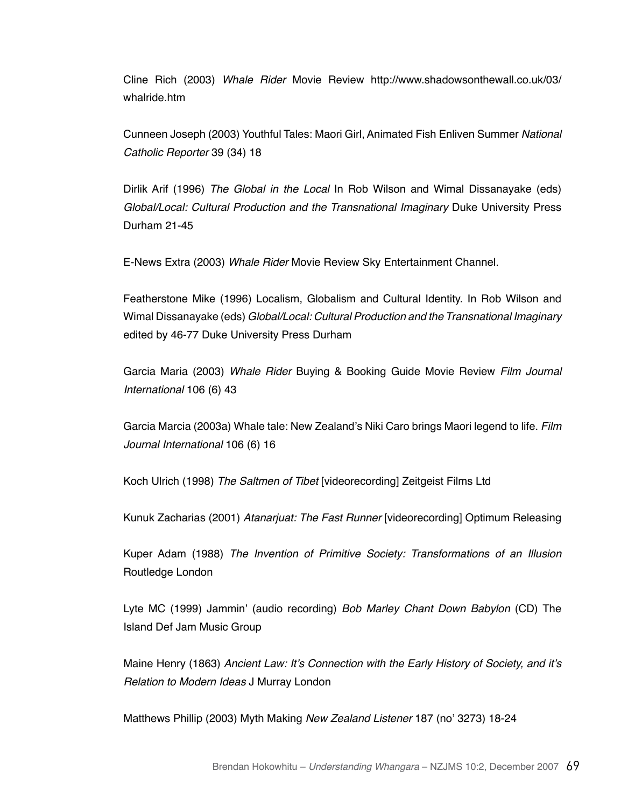Cline Rich (2003) Whale Rider Movie Review http://www.shadowsonthewall.co.uk/03/ whalride.htm

Cunneen Joseph (2003) Youthful Tales: Maori Girl, Animated Fish Enliven Summer *National*  Catholic Reporter 39 (34) 18

Dirlik Arif (1996) The Global in the Local In Rob Wilson and Wimal Dissanayake (eds) Global/Local: Cultural Production and the Transnational Imaginary Duke University Press Durham 21-45

E-News Extra (2003) Whale Rider Movie Review Sky Entertainment Channel.

Featherstone Mike (1996) Localism, Globalism and Cultural Identity. In Rob Wilson and Wimal Dissanayake (eds) Global/Local: Cultural Production and the Transnational Imaginary edited by 46-77 Duke University Press Durham

Garcia Maria (2003) Whale Rider Buying & Booking Guide Movie Review *Film Journal*  International 106 (6) 43

Garcia Marcia (2003a) Whale tale: New Zealand's Niki Caro brings Maori legend to life. *Film*  Journal International 106 (6) 16

Koch Ulrich (1998) *The Saltmen of Tibet* [videorecording] Zeitgeist Films Ltd

Kunuk Zacharias (2001) Atanarjuat: The Fast Runner [videorecording] Optimum Releasing

Kuper Adam (1988) The Invention of Primitive Society: Transformations of an Illusion Routledge London

Lyte MC (1999) Jammin' (audio recording) Bob Marley Chant Down Babylon (CD) The Island Def Jam Music Group

Maine Henry (1863) Ancient Law: It's Connection with the Early History of Society, and it's Relation to Modern Ideas J Murray London

Matthews Phillip (2003) Myth Making *New Zealand Listener* 187 (no' 3273) 18-24